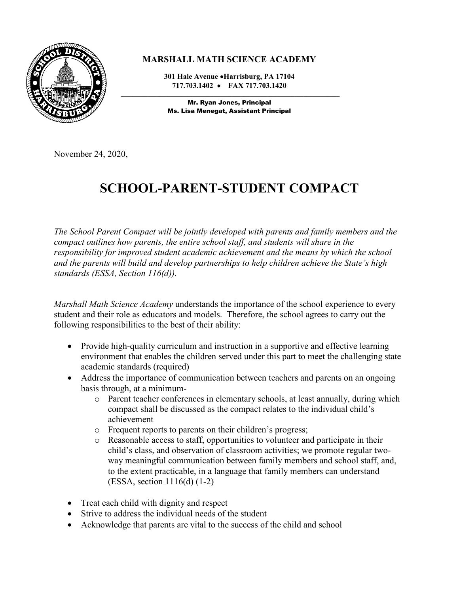

## **MARSHALL MATH SCIENCE ACADEMY**

**301 Hale Avenue Harrisburg, PA 17104 717.703.1402 FAX 717.703.1420**

 $\_$  ,  $\_$  ,  $\_$  ,  $\_$  ,  $\_$  ,  $\_$  ,  $\_$  ,  $\_$  ,  $\_$  ,  $\_$  ,  $\_$  ,  $\_$  ,  $\_$  ,  $\_$  ,  $\_$  ,  $\_$  ,  $\_$  ,  $\_$  ,  $\_$  ,  $\_$ Mr. Ryan Jones, Principal Ms. Lisa Menegat, Assistant Principal

November 24, 2020,

## **SCHOOL-PARENT-STUDENT COMPACT**

*The School Parent Compact will be jointly developed with parents and family members and the compact outlines how parents, the entire school staff, and students will share in the responsibility for improved student academic achievement and the means by which the school and the parents will build and develop partnerships to help children achieve the State's high standards (ESSA, Section 116(d)).* 

*Marshall Math Science Academy* understands the importance of the school experience to every student and their role as educators and models. Therefore, the school agrees to carry out the following responsibilities to the best of their ability:

- Provide high-quality curriculum and instruction in a supportive and effective learning environment that enables the children served under this part to meet the challenging state academic standards (required)
- Address the importance of communication between teachers and parents on an ongoing basis through, at a minimum
	- o Parent teacher conferences in elementary schools, at least annually, during which compact shall be discussed as the compact relates to the individual child's achievement
	- o Frequent reports to parents on their children's progress;
	- o Reasonable access to staff, opportunities to volunteer and participate in their child's class, and observation of classroom activities; we promote regular twoway meaningful communication between family members and school staff, and, to the extent practicable, in a language that family members can understand (ESSA, section 1116(d) (1-2)
- Treat each child with dignity and respect
- Strive to address the individual needs of the student
- Acknowledge that parents are vital to the success of the child and school